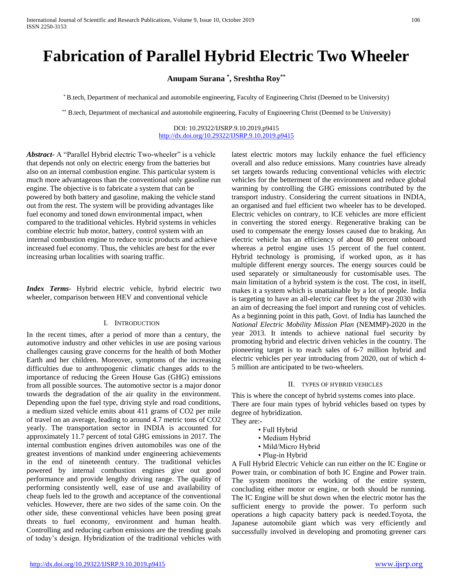# **Fabrication of Parallel Hybrid Electric Two Wheeler**

# **Anupam Surana \* , Sreshtha Roy\*\***

\* B.tech, Department of mechanical and automobile engineering, Faculty of Engineering Christ (Deemed to be University)

\*\* B.tech, Department of mechanical and automobile engineering, Faculty of Engineering Christ (Deemed to be University)

#### DOI: 10.29322/IJSRP.9.10.2019.p9415 <http://dx.doi.org/10.29322/IJSRP.9.10.2019.p9415>

*Abstract***-** A "Parallel Hybrid electric Two-wheeler" is a vehicle that depends not only on electric energy from the batteries but also on an internal combustion engine. This particular system is much more advantageous than the conventional only gasoline run engine. The objective is to fabricate a system that can be powered by both battery and gasoline, making the vehicle stand out from the rest. The system will be providing advantages like fuel economy and toned down environmental impact, when compared to the traditional vehicles. Hybrid systems in vehicles combine electric hub motor, battery, control system with an internal combustion engine to reduce toxic products and achieve increased fuel economy. Thus, the vehicles are best for the ever increasing urban localities with soaring traffic.

*Index Terms*- Hybrid electric vehicle, hybrid electric two wheeler, comparison between HEV and conventional vehicle

#### I. INTRODUCTION

In the recent times, after a period of more than a century, the automotive industry and other vehicles in use are posing various challenges causing grave concerns for the health of both Mother Earth and her children. Moreover, symptoms of the increasing difficulties due to anthropogenic climatic changes adds to the importance of reducing the Green House Gas (GHG) emissions from all possible sources. The automotive sector is a major donor towards the degradation of the air quality in the environment. Depending upon the fuel type, driving style and road conditions, a medium sized vehicle emits about 411 grams of CO2 per mile of travel on an average, leading to around 4.7 metric tons of CO2 yearly. The transportation sector in INDIA is accounted for approximately 11.7 percent of total GHG emissions in 2017. The internal combustion engines driven automobiles was one of the greatest inventions of mankind under engineering achievements in the end of nineteenth century. The traditional vehicles powered by internal combustion engines give out good performance and provide lengthy driving range. The quality of performing consistently well, ease of use and availability of cheap fuels led to the growth and acceptance of the conventional vehicles. However, there are two sides of the same coin. On the other side, these conventional vehicles have been posing great threats to fuel economy, environment and human health. Controlling and reducing carbon emissions are the trending goals of today's design. Hybridization of the traditional vehicles with latest electric motors may luckily enhance the fuel efficiency overall and also reduce emissions. Many countries have already set targets towards reducing conventional vehicles with electric vehicles for the betterment of the environment and reduce global warming by controlling the GHG emissions contributed by the transport industry. Considering the current situations in INDIA, an organised and fuel efficient two wheeler has to be developed. Electric vehicles on contrary, to ICE vehicles are more efficient in converting the stored energy. Regenerative braking can be used to compensate the energy losses caused due to braking. An electric vehicle has an efficiency of about 80 percent onboard whereas a petrol engine uses 15 percent of the fuel content. Hybrid technology is promising, if worked upon, as it has multiple different energy sources. The energy sources could be used separately or simultaneously for customisable uses. The main limitation of a hybrid system is the cost. The cost, in itself, makes it a system which is unattainable by a lot of people. India is targeting to have an all-electric car fleet by the year 2030 with an aim of decreasing the fuel import and running cost of vehicles. As a beginning point in this path, Govt. of India has launched the *National Electric Mobility Mission Plan* (NEMMP)-2020 in the year 2013. It intends to achieve national fuel security by promoting hybrid and electric driven vehicles in the country. The pioneering target is to reach sales of 6-7 million hybrid and electric vehicles per year introducing from 2020, out of which 4- 5 million are anticipated to be two-wheelers.

## II. TYPES OF HYBRID VEHICLES

This is where the concept of hybrid systems comes into place. There are four main types of hybrid vehicles based on types by degree of hybridization.

They are:-

- Full Hybrid
- Medium Hybrid
- Mild/Micro Hybrid
- Plug-in Hybrid

A Full Hybrid Electric Vehicle can run either on the IC Engine or Power train, or combination of both IC Engine and Power train. The system monitors the working of the entire system, concluding either motor or engine, or both should be running. The IC Engine will be shut down when the electric motor has the sufficient energy to provide the power. To perform such operations a high capacity battery pack is needed.Toyota, the Japanese automobile giant which was very efficiently and successfully involved in developing and promoting greener cars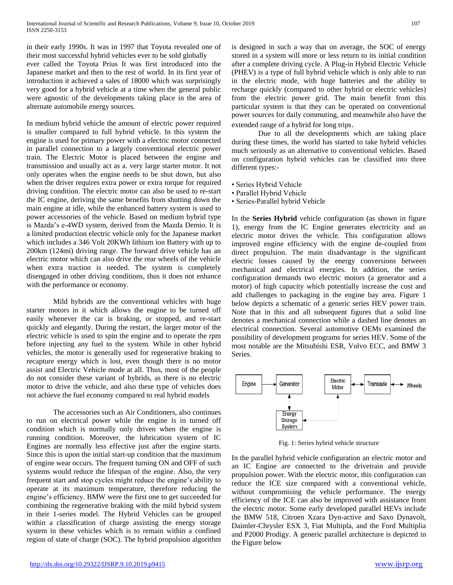in their early 1990s. It was in 1997 that Toyota revealed one of their most successful hybrid vehicles ever to be sold globally ever called the Toyota Prius It was first introduced into the Japanese market and then to the rest of world. In its first year of introduction it achieved a sales of 18000 which was surprisingly very good for a hybrid vehicle at a time when the general public were agnostic of the developments taking place in the area of alternate automobile energy sources.

In medium hybrid vehicle the amount of electric power required is smaller compared to full hybrid vehicle. In this system the engine is used for primary power with a electric motor connected in parallel connection to a largely conventional electric power train. The Electric Motor is placed between the engine and transmission and usually act as a. very large starter motor. It not only operates when the engine needs to be shut down, but also when the driver requires extra power or extra torque for required driving condition. The electric motor can also be used to re-start the IC engine, deriving the same benefits from shutting down the main engine at idle, while the enhanced battery system is used to power accessories of the vehicle. Based on medium hybrid type is Mazda's e-4WD system, derived from the Mazda Demio. It is a limited production electric vehicle only for the Japanese market which includes a 346 Volt 20KWh lithium ion Battery with up to 200km (124mi) driving range. The forward drive vehicle has an electric motor which can also drive the rear wheels of the vehicle when extra traction is needed. The system is completely disengaged in other driving conditions, thus it does not enhance with the performance or economy.

Mild hybrids are the conventional vehicles with huge starter motors in it which allows the engine to be turned off easily whenever the car is braking, or stopped, and re-start quickly and elegantly. During the restart, the larger motor of the electric vehicle is used to spin the engine and to operate the rpm before injecting any fuel to the system. While in other hybrid vehicles, the motor is generally used for regenerative braking to recapture energy which is lost, even though there is no motor assist and Electric Vehicle mode at all. Thus, most of the people do not consider these variant of hybrids, as there is no electric motor to drive the vehicle, and also these type of vehicles does not achieve the fuel economy compared to real hybrid models

The accessories such as Air Conditioners, also continues to run on electrical power while the engine is in turned off condition which is normally only driven when the engine is running condition. Moreover, the lubrication system of IC Engines are normally less effective just after the engine starts. Since this is upon the initial start-up condition that the maximum of engine wear occurs. The frequent turning ON and OFF of such systems would reduce the lifespan of the engine. Also, the very frequent start and stop cycles might reduce the engine's ability to operate at its maximum temperature, therefore reducing the engine's efficiency. BMW were the first one to get succeeded for combining the regenerative braking with the mild hybrid system in their 1-series model. The Hybrid Vehicles can be grouped within a classification of charge assisting the energy storage system in these vehicles which is to remain within a confined region of state of charge (SOC). The hybrid propulsion algorithm is designed in such a way that on average, the SOC of energy stored in a system will more or less return to its initial condition after a complete driving cycle. A Plug-in Hybrid Electric Vehicle (PHEV) is a type of full hybrid vehicle which is only able to run in the electric mode, with huge batteries and the ability to recharge quickly (compared to other hybrid or electric vehicles) from the electric power grid. The main benefit from this particular system is that they can be operated on conventional power sources for daily commuting, and meanwhile also have the extended range of a hybrid for long trips.

Due to all the developments which are taking place during these times, the world has started to take hybrid vehicles much seriously as an alternative to conventional vehicles. Based on configuration hybrid vehicles can be classified into three different types:-

- Series Hybrid Vehicle
- Parallel Hybrid Vehicle
- Series-Parallel hybrid Vehicle

In the **Series Hybrid** vehicle configuration (as shown in figure 1), energy from the IC Engine generates electricity and an electric motor drives the vehicle. This configuration allows improved engine efficiency with the engine de-coupled from direct propulsion. The main disadvantage is the significant electric losses caused by the energy conversions between mechanical and electrical energies. In addition, the series configuration demands two electric motors (a generator and a motor) of high capacity which potentially increase the cost and add challenges to packaging in the engine bay area. Figure 1 below depicts a schematic of a generic series HEV power train. Note that in this and all subsequent figures that a solid line denotes a mechanical connection while a dashed line denotes an electrical connection. Several automotive OEMs examined the possibility of development programs for series HEV. Some of the most notable are the Mitsubishi ESR, Volvo ECC, and BMW 3 Series.



Fig. 1: Series hybrid vehicle structure

In the parallel hybrid vehicle configuration an electric motor and an IC Engine are connected to the drivetrain and provide propulsion power. With the electric motor, this configuration can reduce the ICE size compared with a conventional vehicle, without compromising the vehicle performance. The energy efficiency of the ICE can also be improved with assistance from the electric motor. Some early developed parallel HEVs include the BMW 518, Citroen Xzara Dyn-active and Saxo Dynavolt, Daimler-Chrysler ESX 3, Fiat Multipla, and the Ford Multiplia and P2000 Prodigy. A generic parallel architecture is depicted in the Figure below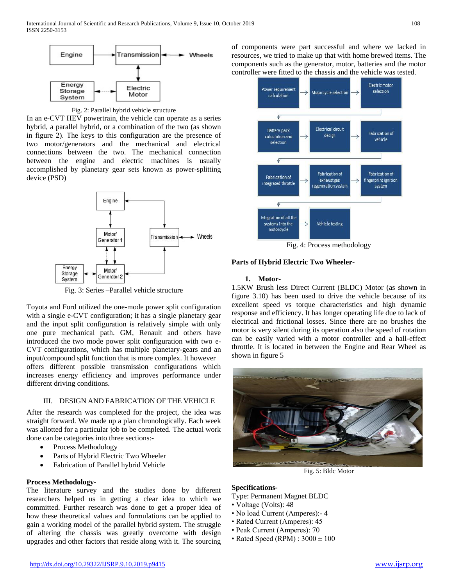



In an e-CVT HEV powertrain, the vehicle can operate as a series hybrid, a parallel hybrid, or a combination of the two (as shown in figure 2). The keys to this configuration are the presence of two motor/generators and the mechanical and electrical connections between the two. The mechanical connection between the engine and electric machines is usually accomplished by planetary gear sets known as power-splitting device (PSD)



Fig. 3: Series –Parallel vehicle structure

Toyota and Ford utilized the one-mode power split configuration with a single e-CVT configuration; it has a single planetary gear and the input split configuration is relatively simple with only one pure mechanical path. GM, Renault and others have introduced the two mode power split configuration with two e-CVT configurations, which has multiple planetary-gears and an input/compound split function that is more complex. It however offers different possible transmission configurations which increases energy efficiency and improves performance under different driving conditions.

# III. DESIGN AND FABRICATION OF THE VEHICLE

After the research was completed for the project, the idea was straight forward. We made up a plan chronologically. Each week was allotted for a particular job to be completed. The actual work done can be categories into three sections:-

- Process Methodology
- Parts of Hybrid Electric Two Wheeler
- Fabrication of Parallel hybrid Vehicle

# **Process Methodology**-

The literature survey and the studies done by different researchers helped us in getting a clear idea to which we committed. Further research was done to get a proper idea of how these theoretical values and formulations can be applied to gain a working model of the parallel hybrid system. The struggle of altering the chassis was greatly overcome with design upgrades and other factors that reside along with it. The sourcing

of components were part successful and where we lacked in resources, we tried to make up that with home brewed items. The components such as the generator, motor, batteries and the motor controller were fitted to the chassis and the vehicle was tested.



Fig. 4: Process methodology

## **Parts of Hybrid Electric Two Wheeler-**

### **1. Motor-**

1.5KW Brush less Direct Current (BLDC) Motor (as shown in figure 3.10) has been used to drive the vehicle because of its excellent speed vs torque characteristics and high dynamic response and efficiency. It has longer operating life due to lack of electrical and frictional losses. Since there are no brushes the motor is very silent during its operation also the speed of rotation can be easily varied with a motor controller and a hall-effect throttle. It is located in between the Engine and Rear Wheel as shown in figure 5



Fig. 5: Bldc Motor

# **Specifications-**

Type: Permanent Magnet BLDC

- Voltage (Volts): 48
- No load Current (Amperes): 4
- Rated Current (Amperes): 45
- Peak Current (Amperes): 70
- Rated Speed (RPM) :  $3000 \pm 100$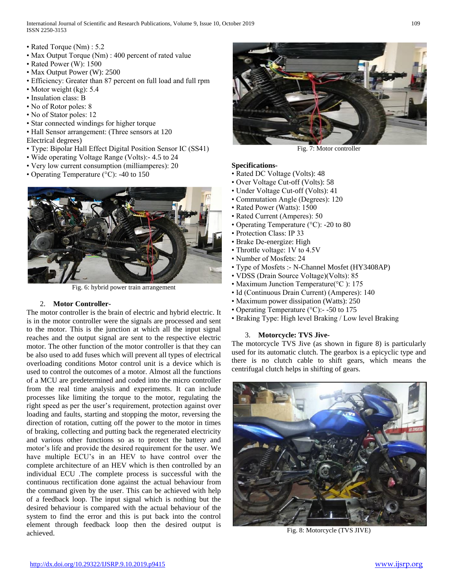International Journal of Scientific and Research Publications, Volume 9, Issue 10, October 2019 109 ISSN 2250-3153

- Rated Torque (Nm) : 5.2
- Max Output Torque (Nm) : 400 percent of rated value
- Rated Power (W): 1500
- Max Output Power (W): 2500
- Efficiency: Greater than 87 percent on full load and full rpm
- Motor weight (kg): 5.4
- Insulation class: B
- No of Rotor poles: 8
- No of Stator poles: 12
- Star connected windings for higher torque
- Hall Sensor arrangement: (Three sensors at 120
- Electrical degrees)
- Type: Bipolar Hall Effect Digital Position Sensor IC (SS41)
- Wide operating Voltage Range (Volts):- 4.5 to 24
- Very low current consumption (milliamperes): 20
- Operating Temperature (°C): -40 to 150



Fig. 6: hybrid power train arrangement

# 2. **Motor Controller-**

The motor controller is the brain of electric and hybrid electric. It is in the motor controller were the signals are processed and sent to the motor. This is the junction at which all the input signal reaches and the output signal are sent to the respective electric motor. The other function of the motor controller is that they can be also used to add fuses which will prevent all types of electrical overloading conditions Motor control unit is a device which is used to control the outcomes of a motor. Almost all the functions of a MCU are predetermined and coded into the micro controller from the real time analysis and experiments. It can include processes like limiting the torque to the motor, regulating the right speed as per the user's requirement, protection against over loading and faults, starting and stopping the motor, reversing the direction of rotation, cutting off the power to the motor in times of braking, collecting and putting back the regenerated electricity and various other functions so as to protect the battery and motor's life and provide the desired requirement for the user. We have multiple ECU's in an HEV to have control over the complete architecture of an HEV which is then controlled by an individual ECU .The complete process is successful with the continuous rectification done against the actual behaviour from the command given by the user. This can be achieved with help of a feedback loop. The input signal which is nothing but the desired behaviour is compared with the actual behaviour of the system to find the error and this is put back into the control element through feedback loop then the desired output is achieved.



Fig. 7: Motor controller

# **Specifications-**

- Rated DC Voltage (Volts): 48
- Over Voltage Cut-off (Volts): 58
- Under Voltage Cut-off (Volts): 41
- Commutation Angle (Degrees): 120
- Rated Power (Watts): 1500
- Rated Current (Amperes): 50
- Operating Temperature (°C): -20 to 80
- Protection Class: IP 33
- Brake De-energize: High
- Throttle voltage: 1V to 4.5V
- Number of Mosfets: 24
- Type of Mosfets :- N-Channel Mosfet (HY3408AP)
- VDSS (Drain Source Voltage)(Volts): 85
- Maximum Junction Temperature(°C): 175
- Id (Continuous Drain Current) (Amperes): 140
- Maximum power dissipation (Watts): 250
- Operating Temperature (°C): -50 to 175
- Braking Type: High level Braking / Low level Braking

# 3. **Motorcycle: TVS Jive-**

The motorcycle TVS Jive (as shown in figure 8) is particularly used for its automatic clutch. The gearbox is a epicyclic type and there is no clutch cable to shift gears, which means the centrifugal clutch helps in shifting of gears.



Fig. 8: Motorcycle (TVS JIVE)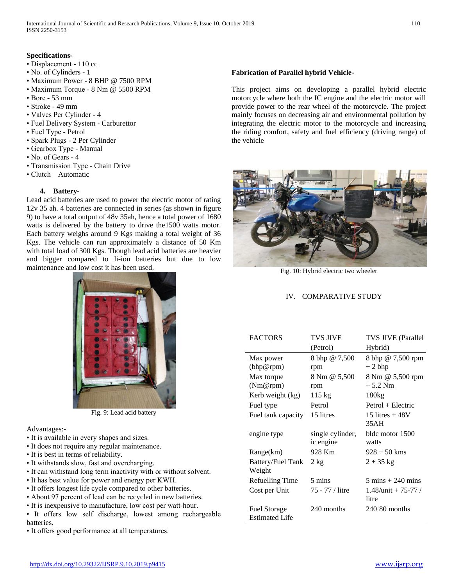# **Specifications-**

- Displacement 110 cc
- No. of Cylinders 1
- Maximum Power 8 BHP @ 7500 RPM
- Maximum Torque 8 Nm @ 5500 RPM
- Bore 53 mm
- Stroke 49 mm
- Valves Per Cylinder 4
- Fuel Delivery System Carburettor
- Fuel Type Petrol
- Spark Plugs 2 Per Cylinder
- Gearbox Type Manual
- No. of Gears 4
- Transmission Type Chain Drive
- Clutch Automatic

## **4. Battery-**

Lead acid batteries are used to power the electric motor of rating 12v 35 ah. 4 batteries are connected in series (as shown in figure 9) to have a total output of 48v 35ah, hence a total power of 1680 watts is delivered by the battery to drive the1500 watts motor. Each battery weighs around 9 Kgs making a total weight of 36 Kgs. The vehicle can run approximately a distance of 50 Km with total load of 300 Kgs. Though lead acid batteries are heavier and bigger compared to li-ion batteries but due to low maintenance and low cost it has been used.



Fig. 9: Lead acid battery

Advantages:-

- It is available in every shapes and sizes.
- It does not require any regular maintenance.
- It is best in terms of reliability.
- It withstands slow, fast and overcharging.
- It can withstand long term inactivity with or without solvent.
- It has best value for power and energy per KWH.
- It offers longest life cycle compared to other batteries.
- About 97 percent of lead can be recycled in new batteries.
- It is inexpensive to manufacture, low cost per watt-hour.
- It offers low self discharge, lowest among rechargeable batteries.
- It offers good performance at all temperatures.

## **Fabrication of Parallel hybrid Vehicle-**

This project aims on developing a parallel hybrid electric motorcycle where both the IC engine and the electric motor will provide power to the rear wheel of the motorcycle. The project mainly focuses on decreasing air and environmental pollution by integrating the electric motor to the motorcycle and increasing the riding comfort, safety and fuel efficiency (driving range) of the vehicle



Fig. 10: Hybrid electric two wheeler

# IV. COMPARATIVE STUDY

| <b>FACTORS</b>                               | TVS JIVE                      | <b>TVS JIVE (Parallel</b>           |
|----------------------------------------------|-------------------------------|-------------------------------------|
|                                              | (Petrol)                      | Hybrid)                             |
| Max power<br>(bhp@rpm)                       | 8 bhp @ 7,500<br>rpm          | 8 bhp @ 7,500 rpm<br>$+2$ bhp       |
| Max torque<br>(Nm@rpm)                       | 8 Nm @ 5,500<br>rpm           | 8 Nm @ 5,500 rpm<br>$+5.2$ Nm       |
| Kerb weight (kg)                             | $115 \text{ kg}$              | 180kg                               |
| Fuel type                                    | Petrol                        | Petrol + Electric                   |
| Fuel tank capacity                           | 15 litres                     | 15 litres $+48V$<br>35AH            |
| engine type                                  | single cylinder,<br>ic engine | bldc motor 1500<br>watts            |
| Range(km)                                    | 928 Km                        | $928 + 50$ kms                      |
| <b>Battery/Fuel Tank</b><br>Weight           | $2 \text{ kg}$                | $2 + 35$ kg                         |
| Refuelling Time                              | 5 mins                        | $5 \text{ mins} + 240 \text{ mins}$ |
| Cost per Unit                                | 75 - 77 / litre               | $1.48$ /unit + 75-77 /<br>litre     |
| <b>Fuel Storage</b><br><b>Estimated Life</b> | 240 months                    | $240.80$ months                     |